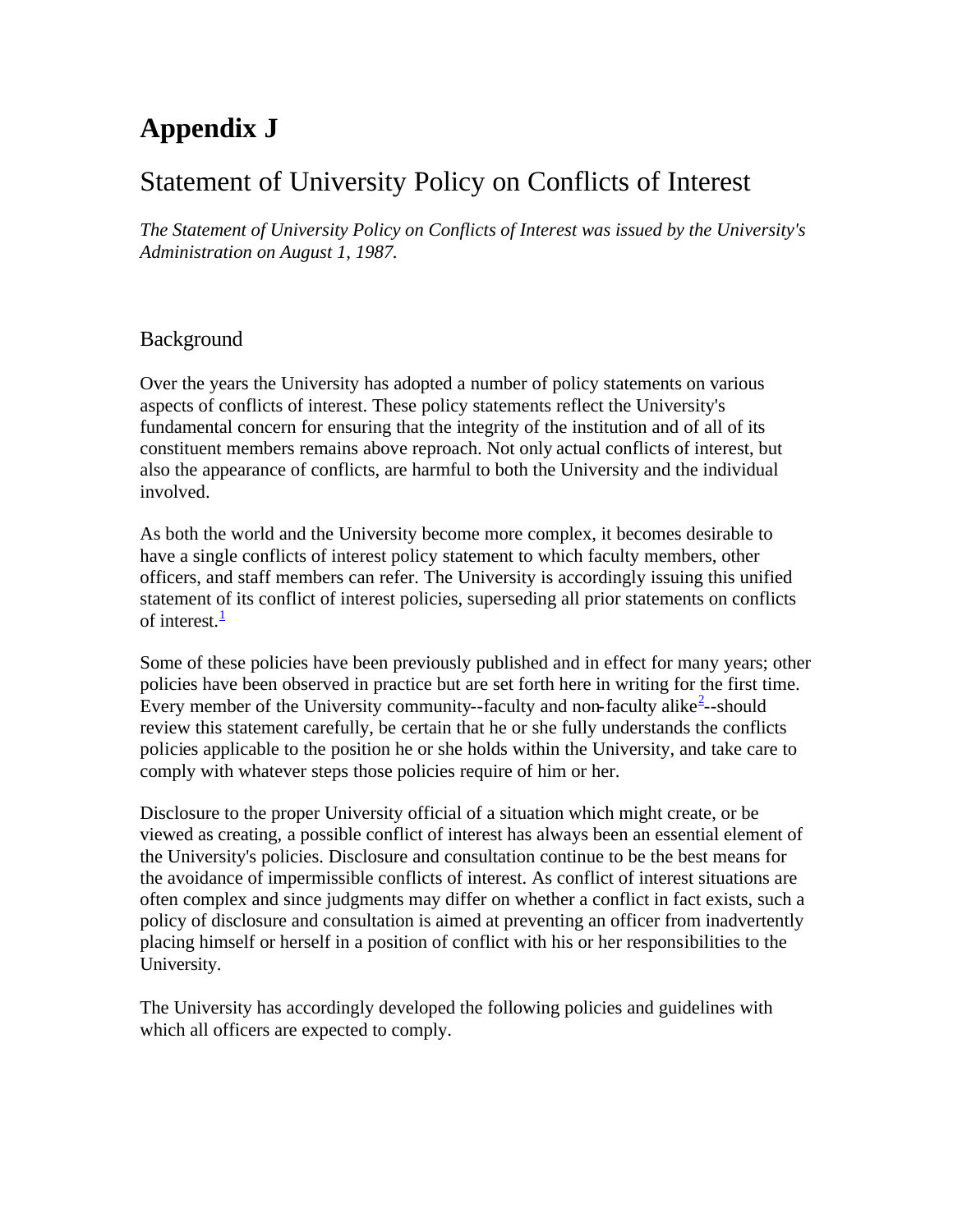# **Appendix J**

## Statement of University Policy on Conflicts of Interest

*The Statement of University Policy on Conflicts of Interest was issued by the University's Administration on August 1, 1987.*

#### **Background**

Over the years the University has adopted a number of policy statements on various aspects of conflicts of interest. These policy statements reflect the University's fundamental concern for ensuring that the integrity of the institution and of all of its constituent members remains above reproach. Not only actual conflicts of interest, but also the appearance of conflicts, are harmful to both the University and the individual involved.

As both the world and the University become more complex, it becomes desirable to have a single conflicts of interest policy statement to which faculty members, other officers, and staff members can refer. The University is accordingly issuing this unified statement of its conflict of interest policies, superseding all prior statements on conflicts of interest. $\frac{1}{2}$ 

Some of these policies have been previously published and in effect for many years; other policies have been observed in practice but are set forth here in writing for the first time. Every member of the University community--faculty and non-faculty alike<sup>2</sup>--should review this statement carefully, be certain that he or she fully understands the conflicts policies applicable to the position he or she holds within the University, and take care to comply with whatever steps those policies require of him or her.

Disclosure to the proper University official of a situation which might create, or be viewed as creating, a possible conflict of interest has always been an essential element of the University's policies. Disclosure and consultation continue to be the best means for the avoidance of impermissible conflicts of interest. As conflict of interest situations are often complex and since judgments may differ on whether a conflict in fact exists, such a policy of disclosure and consultation is aimed at preventing an officer from inadvertently placing himself or herself in a position of conflict with his or her responsibilities to the University.

The University has accordingly developed the following policies and guidelines with which all officers are expected to comply.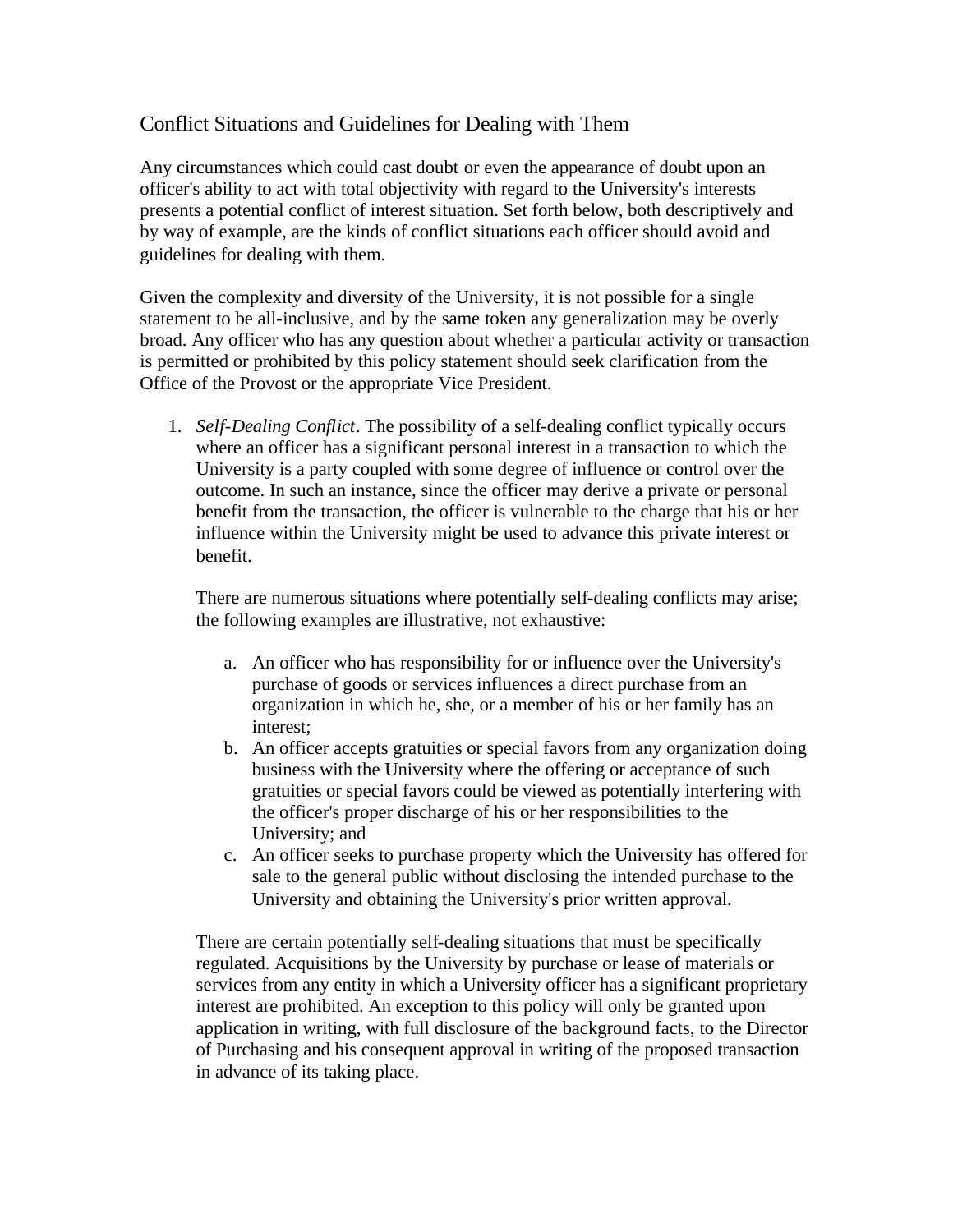### Conflict Situations and Guidelines for Dealing with Them

Any circumstances which could cast doubt or even the appearance of doubt upon an officer's ability to act with total objectivity with regard to the University's interests presents a potential conflict of interest situation. Set forth below, both descriptively and by way of example, are the kinds of conflict situations each officer should avoid and guidelines for dealing with them.

Given the complexity and diversity of the University, it is not possible for a single statement to be all-inclusive, and by the same token any generalization may be overly broad. Any officer who has any question about whether a particular activity or transaction is permitted or prohibited by this policy statement should seek clarification from the Office of the Provost or the appropriate Vice President.

1. *Self-Dealing Conflict*. The possibility of a self-dealing conflict typically occurs where an officer has a significant personal interest in a transaction to which the University is a party coupled with some degree of influence or control over the outcome. In such an instance, since the officer may derive a private or personal benefit from the transaction, the officer is vulnerable to the charge that his or her influence within the University might be used to advance this private interest or benefit.

There are numerous situations where potentially self-dealing conflicts may arise; the following examples are illustrative, not exhaustive:

- a. An officer who has responsibility for or influence over the University's purchase of goods or services influences a direct purchase from an organization in which he, she, or a member of his or her family has an interest;
- b. An officer accepts gratuities or special favors from any organization doing business with the University where the offering or acceptance of such gratuities or special favors could be viewed as potentially interfering with the officer's proper discharge of his or her responsibilities to the University; and
- c. An officer seeks to purchase property which the University has offered for sale to the general public without disclosing the intended purchase to the University and obtaining the University's prior written approval.

There are certain potentially self-dealing situations that must be specifically regulated. Acquisitions by the University by purchase or lease of materials or services from any entity in which a University officer has a significant proprietary interest are prohibited. An exception to this policy will only be granted upon application in writing, with full disclosure of the background facts, to the Director of Purchasing and his consequent approval in writing of the proposed transaction in advance of its taking place.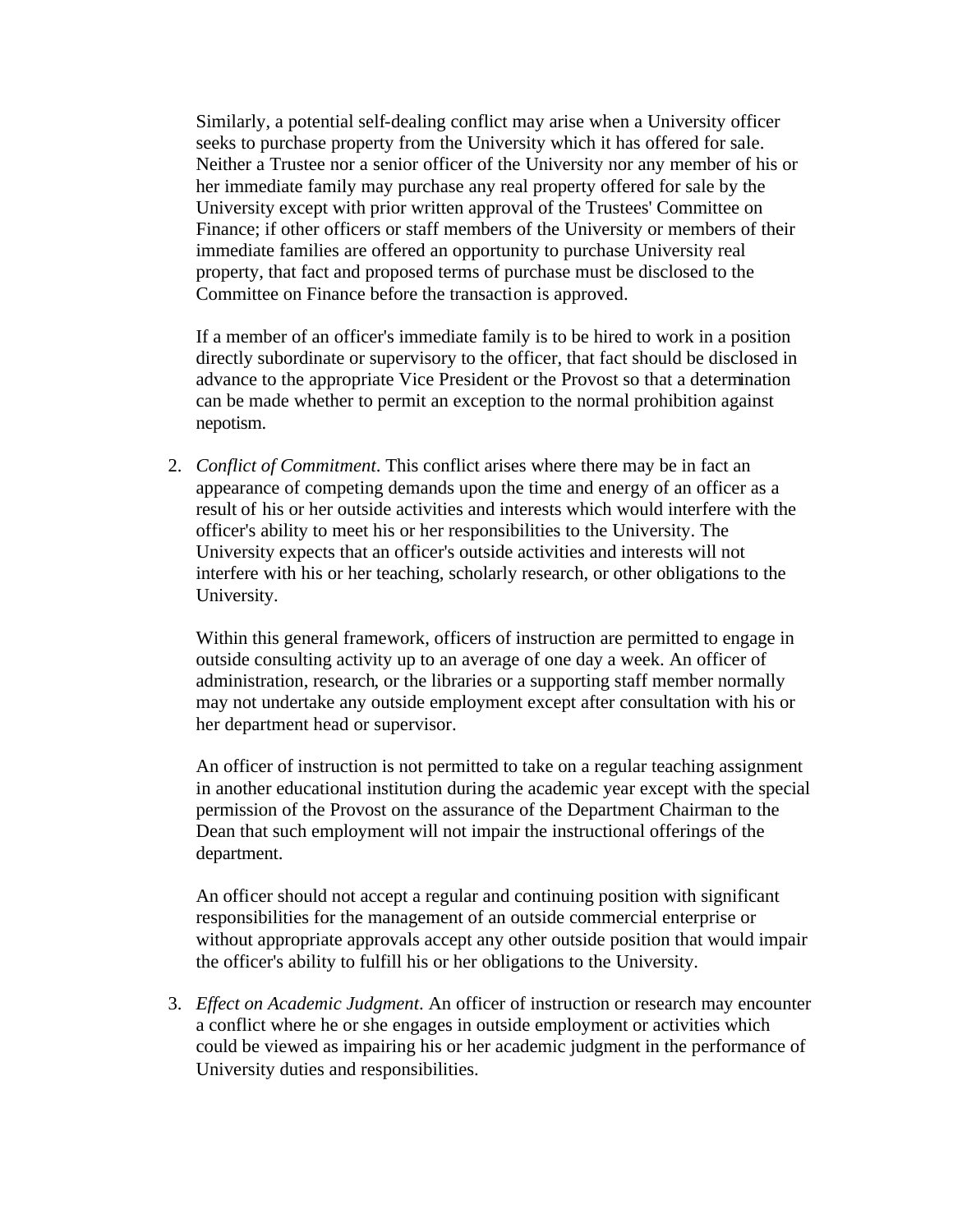Similarly, a potential self-dealing conflict may arise when a University officer seeks to purchase property from the University which it has offered for sale. Neither a Trustee nor a senior officer of the University nor any member of his or her immediate family may purchase any real property offered for sale by the University except with prior written approval of the Trustees' Committee on Finance; if other officers or staff members of the University or members of their immediate families are offered an opportunity to purchase University real property, that fact and proposed terms of purchase must be disclosed to the Committee on Finance before the transaction is approved.

If a member of an officer's immediate family is to be hired to work in a position directly subordinate or supervisory to the officer, that fact should be disclosed in advance to the appropriate Vice President or the Provost so that a determination can be made whether to permit an exception to the normal prohibition against nepotism.

2. *Conflict of Commitment*. This conflict arises where there may be in fact an appearance of competing demands upon the time and energy of an officer as a result of his or her outside activities and interests which would interfere with the officer's ability to meet his or her responsibilities to the University. The University expects that an officer's outside activities and interests will not interfere with his or her teaching, scholarly research, or other obligations to the University.

Within this general framework, officers of instruction are permitted to engage in outside consulting activity up to an average of one day a week. An officer of administration, research, or the libraries or a supporting staff member normally may not undertake any outside employment except after consultation with his or her department head or supervisor.

An officer of instruction is not permitted to take on a regular teaching assignment in another educational institution during the academic year except with the special permission of the Provost on the assurance of the Department Chairman to the Dean that such employment will not impair the instructional offerings of the department.

An officer should not accept a regular and continuing position with significant responsibilities for the management of an outside commercial enterprise or without appropriate approvals accept any other outside position that would impair the officer's ability to fulfill his or her obligations to the University.

3. *Effect on Academic Judgment*. An officer of instruction or research may encounter a conflict where he or she engages in outside employment or activities which could be viewed as impairing his or her academic judgment in the performance of University duties and responsibilities.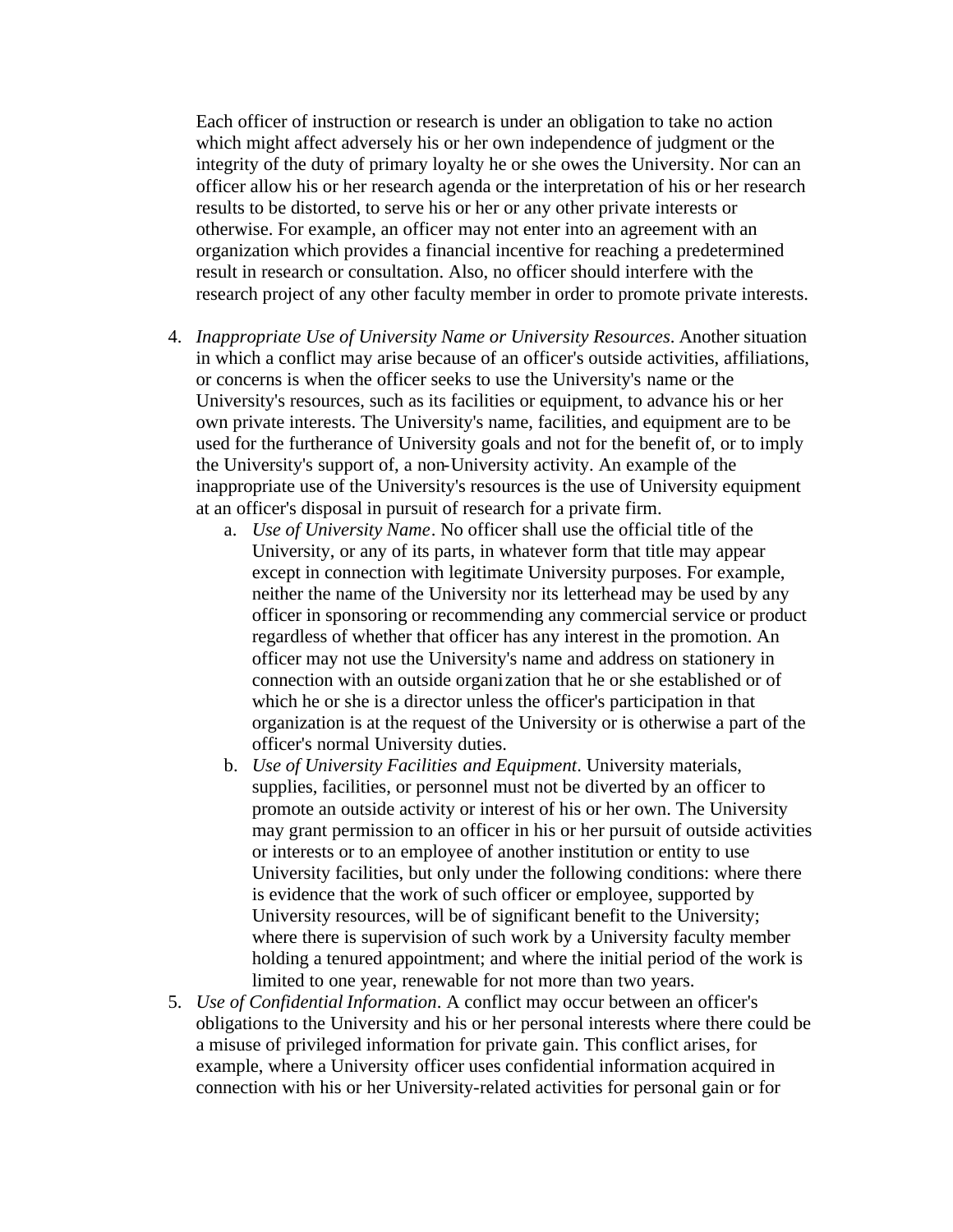Each officer of instruction or research is under an obligation to take no action which might affect adversely his or her own independence of judgment or the integrity of the duty of primary loyalty he or she owes the University. Nor can an officer allow his or her research agenda or the interpretation of his or her research results to be distorted, to serve his or her or any other private interests or otherwise. For example, an officer may not enter into an agreement with an organization which provides a financial incentive for reaching a predetermined result in research or consultation. Also, no officer should interfere with the research project of any other faculty member in order to promote private interests.

- 4. *Inappropriate Use of University Name or University Resources*. Another situation in which a conflict may arise because of an officer's outside activities, affiliations, or concerns is when the officer seeks to use the University's name or the University's resources, such as its facilities or equipment, to advance his or her own private interests. The University's name, facilities, and equipment are to be used for the furtherance of University goals and not for the benefit of, or to imply the University's support of, a non-University activity. An example of the inappropriate use of the University's resources is the use of University equipment at an officer's disposal in pursuit of research for a private firm.
	- a. *Use of University Name*. No officer shall use the official title of the University, or any of its parts, in whatever form that title may appear except in connection with legitimate University purposes. For example, neither the name of the University nor its letterhead may be used by any officer in sponsoring or recommending any commercial service or product regardless of whether that officer has any interest in the promotion. An officer may not use the University's name and address on stationery in connection with an outside organization that he or she established or of which he or she is a director unless the officer's participation in that organization is at the request of the University or is otherwise a part of the officer's normal University duties.
	- b. *Use of University Facilities and Equipment*. University materials, supplies, facilities, or personnel must not be diverted by an officer to promote an outside activity or interest of his or her own. The University may grant permission to an officer in his or her pursuit of outside activities or interests or to an employee of another institution or entity to use University facilities, but only under the following conditions: where there is evidence that the work of such officer or employee, supported by University resources, will be of significant benefit to the University; where there is supervision of such work by a University faculty member holding a tenured appointment; and where the initial period of the work is limited to one year, renewable for not more than two years.
- 5. *Use of Confidential Information*. A conflict may occur between an officer's obligations to the University and his or her personal interests where there could be a misuse of privileged information for private gain. This conflict arises, for example, where a University officer uses confidential information acquired in connection with his or her University-related activities for personal gain or for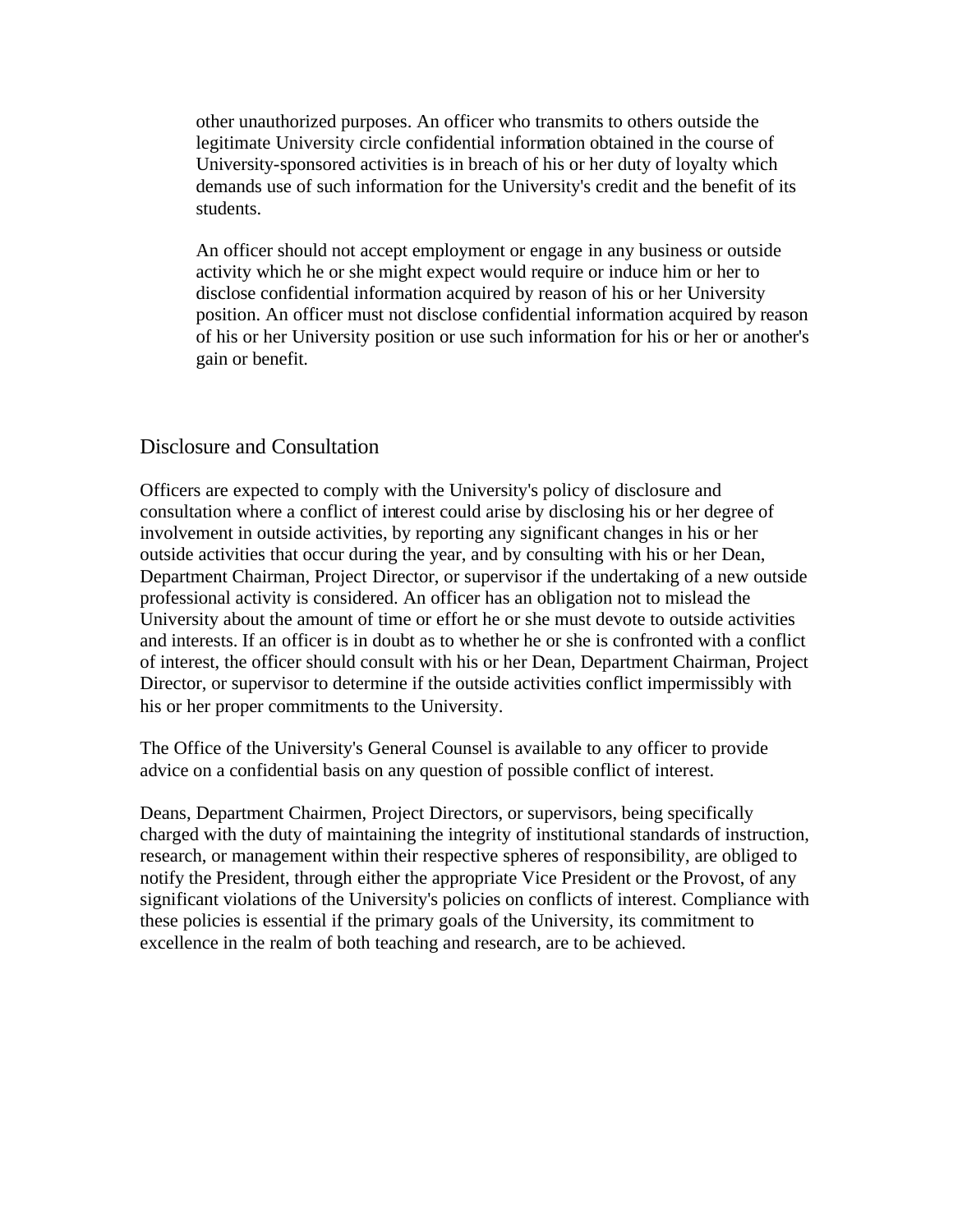other unauthorized purposes. An officer who transmits to others outside the legitimate University circle confidential information obtained in the course of University-sponsored activities is in breach of his or her duty of loyalty which demands use of such information for the University's credit and the benefit of its students.

An officer should not accept employment or engage in any business or outside activity which he or she might expect would require or induce him or her to disclose confidential information acquired by reason of his or her University position. An officer must not disclose confidential information acquired by reason of his or her University position or use such information for his or her or another's gain or benefit.

#### Disclosure and Consultation

Officers are expected to comply with the University's policy of disclosure and consultation where a conflict of interest could arise by disclosing his or her degree of involvement in outside activities, by reporting any significant changes in his or her outside activities that occur during the year, and by consulting with his or her Dean, Department Chairman, Project Director, or supervisor if the undertaking of a new outside professional activity is considered. An officer has an obligation not to mislead the University about the amount of time or effort he or she must devote to outside activities and interests. If an officer is in doubt as to whether he or she is confronted with a conflict of interest, the officer should consult with his or her Dean, Department Chairman, Project Director, or supervisor to determine if the outside activities conflict impermissibly with his or her proper commitments to the University.

The Office of the University's General Counsel is available to any officer to provide advice on a confidential basis on any question of possible conflict of interest.

Deans, Department Chairmen, Project Directors, or supervisors, being specifically charged with the duty of maintaining the integrity of institutional standards of instruction, research, or management within their respective spheres of responsibility, are obliged to notify the President, through either the appropriate Vice President or the Provost, of any significant violations of the University's policies on conflicts of interest. Compliance with these policies is essential if the primary goals of the University, its commitment to excellence in the realm of both teaching and research, are to be achieved.